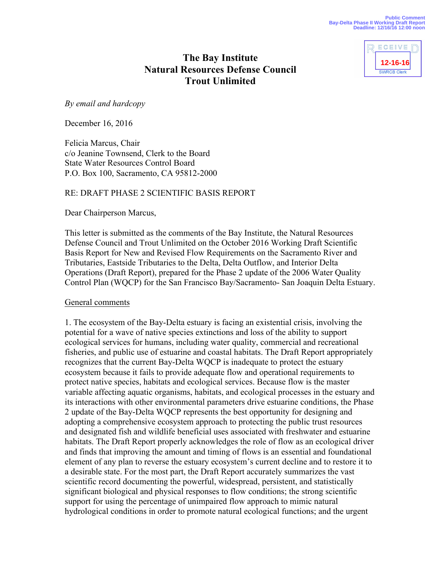

# **The Bay Institute Natural Resources Defense Council Trout Unlimited**

*By email and hardcopy*

December 16, 2016

Felicia Marcus, Chair c/o Jeanine Townsend, Clerk to the Board State Water Resources Control Board P.O. Box 100, Sacramento, CA 95812-2000

### RE: DRAFT PHASE 2 SCIENTIFIC BASIS REPORT

Dear Chairperson Marcus,

This letter is submitted as the comments of the Bay Institute, the Natural Resources Defense Council and Trout Unlimited on the October 2016 Working Draft Scientific Basis Report for New and Revised Flow Requirements on the Sacramento River and Tributaries, Eastside Tributaries to the Delta, Delta Outflow, and Interior Delta Operations (Draft Report), prepared for the Phase 2 update of the 2006 Water Quality Control Plan (WQCP) for the San Francisco Bay/Sacramento- San Joaquin Delta Estuary.

#### General comments

1. The ecosystem of the Bay-Delta estuary is facing an existential crisis, involving the potential for a wave of native species extinctions and loss of the ability to support ecological services for humans, including water quality, commercial and recreational fisheries, and public use of estuarine and coastal habitats. The Draft Report appropriately recognizes that the current Bay-Delta WQCP is inadequate to protect the estuary ecosystem because it fails to provide adequate flow and operational requirements to protect native species, habitats and ecological services. Because flow is the master variable affecting aquatic organisms, habitats, and ecological processes in the estuary and its interactions with other environmental parameters drive estuarine conditions, the Phase 2 update of the Bay-Delta WQCP represents the best opportunity for designing and adopting a comprehensive ecosystem approach to protecting the public trust resources and designated fish and wildlife beneficial uses associated with freshwater and estuarine habitats. The Draft Report properly acknowledges the role of flow as an ecological driver and finds that improving the amount and timing of flows is an essential and foundational element of any plan to reverse the estuary ecosystem's current decline and to restore it to a desirable state. For the most part, the Draft Report accurately summarizes the vast scientific record documenting the powerful, widespread, persistent, and statistically significant biological and physical responses to flow conditions; the strong scientific support for using the percentage of unimpaired flow approach to mimic natural hydrological conditions in order to promote natural ecological functions; and the urgent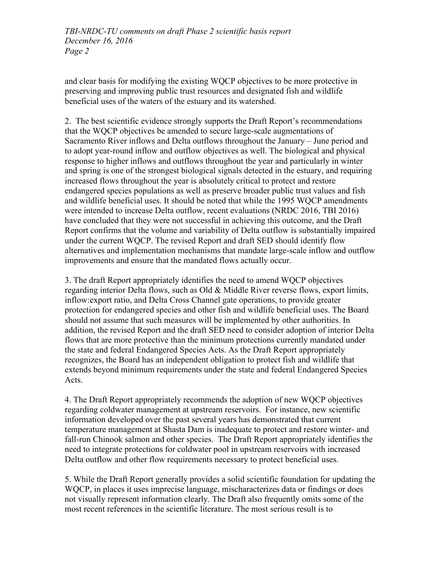and clear basis for modifying the existing WQCP objectives to be more protective in preserving and improving public trust resources and designated fish and wildlife beneficial uses of the waters of the estuary and its watershed.

2. The best scientific evidence strongly supports the Draft Report's recommendations that the WQCP objectives be amended to secure large-scale augmentations of Sacramento River inflows and Delta outflows throughout the January – June period and to adopt year-round inflow and outflow objectives as well. The biological and physical response to higher inflows and outflows throughout the year and particularly in winter and spring is one of the strongest biological signals detected in the estuary, and requiring increased flows throughout the year is absolutely critical to protect and restore endangered species populations as well as preserve broader public trust values and fish and wildlife beneficial uses. It should be noted that while the 1995 WQCP amendments were intended to increase Delta outflow, recent evaluations (NRDC 2016, TBI 2016) have concluded that they were not successful in achieving this outcome, and the Draft Report confirms that the volume and variability of Delta outflow is substantially impaired under the current WQCP. The revised Report and draft SED should identify flow alternatives and implementation mechanisms that mandate large-scale inflow and outflow improvements and ensure that the mandated flows actually occur.

3. The draft Report appropriately identifies the need to amend WQCP objectives regarding interior Delta flows, such as Old & Middle River reverse flows, export limits, inflow:export ratio, and Delta Cross Channel gate operations, to provide greater protection for endangered species and other fish and wildlife beneficial uses. The Board should not assume that such measures will be implemented by other authorities. In addition, the revised Report and the draft SED need to consider adoption of interior Delta flows that are more protective than the minimum protections currently mandated under the state and federal Endangered Species Acts. As the Draft Report appropriately recognizes, the Board has an independent obligation to protect fish and wildlife that extends beyond minimum requirements under the state and federal Endangered Species Acts.

4. The Draft Report appropriately recommends the adoption of new WQCP objectives regarding coldwater management at upstream reservoirs. For instance, new scientific information developed over the past several years has demonstrated that current temperature management at Shasta Dam is inadequate to protect and restore winter- and fall-run Chinook salmon and other species. The Draft Report appropriately identifies the need to integrate protections for coldwater pool in upstream reservoirs with increased Delta outflow and other flow requirements necessary to protect beneficial uses.

5. While the Draft Report generally provides a solid scientific foundation for updating the WQCP, in places it uses imprecise language, mischaracterizes data or findings or does not visually represent information clearly. The Draft also frequently omits some of the most recent references in the scientific literature. The most serious result is to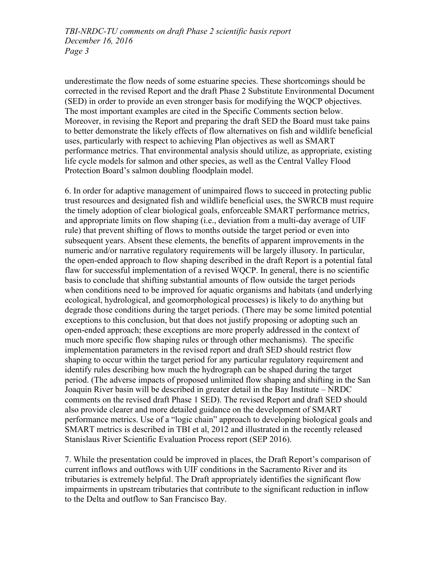underestimate the flow needs of some estuarine species. These shortcomings should be corrected in the revised Report and the draft Phase 2 Substitute Environmental Document (SED) in order to provide an even stronger basis for modifying the WQCP objectives. The most important examples are cited in the Specific Comments section below. Moreover, in revising the Report and preparing the draft SED the Board must take pains to better demonstrate the likely effects of flow alternatives on fish and wildlife beneficial uses, particularly with respect to achieving Plan objectives as well as SMART performance metrics. That environmental analysis should utilize, as appropriate, existing life cycle models for salmon and other species, as well as the Central Valley Flood Protection Board's salmon doubling floodplain model.

6. In order for adaptive management of unimpaired flows to succeed in protecting public trust resources and designated fish and wildlife beneficial uses, the SWRCB must require the timely adoption of clear biological goals, enforceable SMART performance metrics, and appropriate limits on flow shaping (i.e., deviation from a multi-day average of UIF rule) that prevent shifting of flows to months outside the target period or even into subsequent years. Absent these elements, the benefits of apparent improvements in the numeric and/or narrative regulatory requirements will be largely illusory. In particular, the open-ended approach to flow shaping described in the draft Report is a potential fatal flaw for successful implementation of a revised WQCP. In general, there is no scientific basis to conclude that shifting substantial amounts of flow outside the target periods when conditions need to be improved for aquatic organisms and habitats (and underlying ecological, hydrological, and geomorphological processes) is likely to do anything but degrade those conditions during the target periods. (There may be some limited potential exceptions to this conclusion, but that does not justify proposing or adopting such an open-ended approach; these exceptions are more properly addressed in the context of much more specific flow shaping rules or through other mechanisms). The specific implementation parameters in the revised report and draft SED should restrict flow shaping to occur within the target period for any particular regulatory requirement and identify rules describing how much the hydrograph can be shaped during the target period. (The adverse impacts of proposed unlimited flow shaping and shifting in the San Joaquin River basin will be described in greater detail in the Bay Institute – NRDC comments on the revised draft Phase 1 SED). The revised Report and draft SED should also provide clearer and more detailed guidance on the development of SMART performance metrics. Use of a "logic chain" approach to developing biological goals and SMART metrics is described in TBI et al, 2012 and illustrated in the recently released Stanislaus River Scientific Evaluation Process report (SEP 2016).

7. While the presentation could be improved in places, the Draft Report's comparison of current inflows and outflows with UIF conditions in the Sacramento River and its tributaries is extremely helpful. The Draft appropriately identifies the significant flow impairments in upstream tributaries that contribute to the significant reduction in inflow to the Delta and outflow to San Francisco Bay.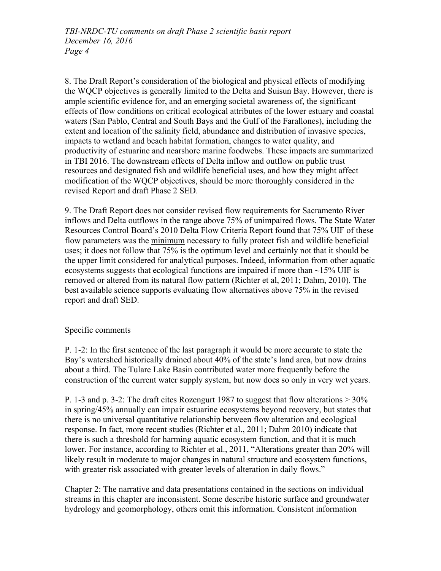8. The Draft Report's consideration of the biological and physical effects of modifying the WQCP objectives is generally limited to the Delta and Suisun Bay. However, there is ample scientific evidence for, and an emerging societal awareness of, the significant effects of flow conditions on critical ecological attributes of the lower estuary and coastal waters (San Pablo, Central and South Bays and the Gulf of the Farallones), including the extent and location of the salinity field, abundance and distribution of invasive species, impacts to wetland and beach habitat formation, changes to water quality, and productivity of estuarine and nearshore marine foodwebs. These impacts are summarized in TBI 2016. The downstream effects of Delta inflow and outflow on public trust resources and designated fish and wildlife beneficial uses, and how they might affect modification of the WQCP objectives, should be more thoroughly considered in the revised Report and draft Phase 2 SED.

9. The Draft Report does not consider revised flow requirements for Sacramento River inflows and Delta outflows in the range above 75% of unimpaired flows. The State Water Resources Control Board's 2010 Delta Flow Criteria Report found that 75% UIF of these flow parameters was the minimum necessary to fully protect fish and wildlife beneficial uses; it does not follow that 75% is the optimum level and certainly not that it should be the upper limit considered for analytical purposes. Indeed, information from other aquatic ecosystems suggests that ecological functions are impaired if more than  $\sim$ 15% UIF is removed or altered from its natural flow pattern (Richter et al, 2011; Dahm, 2010). The best available science supports evaluating flow alternatives above 75% in the revised report and draft SED.

### Specific comments

P. 1-2: In the first sentence of the last paragraph it would be more accurate to state the Bay's watershed historically drained about 40% of the state's land area, but now drains about a third. The Tulare Lake Basin contributed water more frequently before the construction of the current water supply system, but now does so only in very wet years.

P. 1-3 and p. 3-2: The draft cites Rozengurt 1987 to suggest that flow alterations  $>$  30% in spring/45% annually can impair estuarine ecosystems beyond recovery, but states that there is no universal quantitative relationship between flow alteration and ecological response. In fact, more recent studies (Richter et al., 2011; Dahm 2010) indicate that there is such a threshold for harming aquatic ecosystem function, and that it is much lower. For instance, according to Richter et al., 2011, "Alterations greater than 20% will likely result in moderate to major changes in natural structure and ecosystem functions, with greater risk associated with greater levels of alteration in daily flows."

Chapter 2: The narrative and data presentations contained in the sections on individual streams in this chapter are inconsistent. Some describe historic surface and groundwater hydrology and geomorphology, others omit this information. Consistent information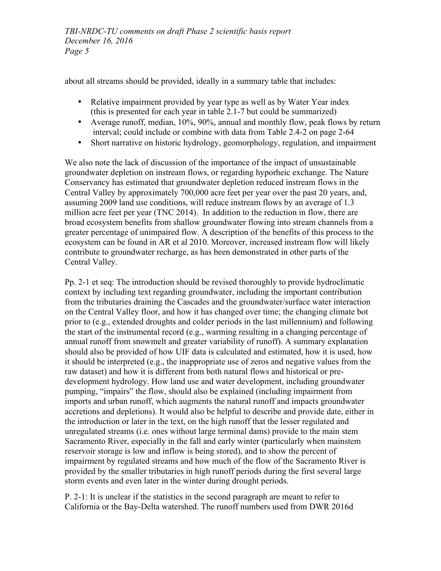about all streams should be provided, ideally in a summary table that includes:

- Relative impairment provided by year type as well as by Water Year index (this is presented for each year in table 2.1-7 but could be summarized)
- Average runoff, median, 10%, 90%, annual and monthly flow, peak flows by return interval; could include or combine with data from Table 2.4-2 on page 2-64
- Short narrative on historic hydrology, geomorphology, regulation, and impairment

We also note the lack of discussion of the importance of the impact of unsustainable groundwater depletion on instream flows, or regarding hyporheic exchange. The Nature Conservancy has estimated that groundwater depletion reduced instream flows in the Central Valley by approximately 700,000 acre feet per year over the past 20 years, and, assuming 2009 land use conditions, will reduce instream flows by an average of 1.3 million acre feet per year (TNC 2014). In addition to the reduction in flow, there are broad ecosystem benefits from shallow groundwater flowing into stream channels from a greater percentage of unimpaired flow. A description of the benefits of this process to the ecosystem can be found in AR et al 2010. Moreover, increased instream flow will likely contribute to groundwater recharge, as has been demonstrated in other parts of the Central Valley.

Pp. 2-1 et seq: The introduction should be revised thoroughly to provide hydroclimatic context by including text regarding groundwater, including the important contribution from the tributaries draining the Cascades and the groundwater/surface water interaction on the Central Valley floor, and how it has changed over time; the changing climate bot prior to (e.g., extended droughts and colder periods in the last millennium) and following the start of the instrumental record (e.g., warming resulting in a changing percentage of annual runoff from snowmelt and greater variability of runoff). A summary explanation should also be provided of how UIF data is calculated and estimated, how it is used, how it should be interpreted (e.g., the inappropriate use of zeros and negative values from the raw dataset) and how it is different from both natural flows and historical or predevelopment hydrology. How land use and water development, including groundwater pumping, "impairs" the flow, should also be explained (including impairment from imports and urban runoff, which augments the natural runoff and impacts groundwater accretions and depletions). It would also be helpful to describe and provide date, either in the introduction or later in the text, on the high runoff that the lesser regulated and unregulated streams (i.e. ones without large terminal dams) provide to the main stem Sacramento River, especially in the fall and early winter (particularly when mainstem reservoir storage is low and inflow is being stored), and to show the percent of impairment by regulated streams and how much of the flow of the Sacramento River is provided by the smaller tributaries in high runoff periods during the first several large storm events and even later in the winter during drought periods.

P. 2-1: It is unclear if the statistics in the second paragraph are meant to refer to California or the Bay-Delta watershed. The runoff numbers used from DWR 2016d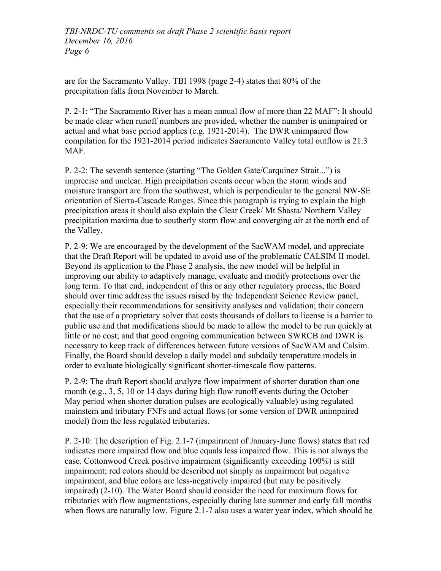are for the Sacramento Valley. TBI 1998 (page 2-4) states that 80% of the precipitation falls from November to March.

P. 2-1: "The Sacramento River has a mean annual flow of more than 22 MAF": It should be made clear when runoff numbers are provided, whether the number is unimpaired or actual and what base period applies (e.g. 1921-2014). The DWR unimpaired flow compilation for the 1921-2014 period indicates Sacramento Valley total outflow is 21.3 MAF.

P. 2-2: The seventh sentence (starting "The Golden Gate/Carquinez Strait...") is imprecise and unclear. High precipitation events occur when the storm winds and moisture transport are from the southwest, which is perpendicular to the general NW-SE orientation of Sierra-Cascade Ranges. Since this paragraph is trying to explain the high precipitation areas it should also explain the Clear Creek/ Mt Shasta/ Northern Valley precipitation maxima due to southerly storm flow and converging air at the north end of the Valley.

P. 2-9: We are encouraged by the development of the SacWAM model, and appreciate that the Draft Report will be updated to avoid use of the problematic CALSIM II model. Beyond its application to the Phase 2 analysis, the new model will be helpful in improving our ability to adaptively manage, evaluate and modify protections over the long term. To that end, independent of this or any other regulatory process, the Board should over time address the issues raised by the Independent Science Review panel, especially their recommendations for sensitivity analyses and validation; their concern that the use of a proprietary solver that costs thousands of dollars to license is a barrier to public use and that modifications should be made to allow the model to be run quickly at little or no cost; and that good ongoing communication between SWRCB and DWR is necessary to keep track of differences between future versions of SacWAM and Calsim. Finally, the Board should develop a daily model and subdaily temperature models in order to evaluate biologically significant shorter-timescale flow patterns.

P. 2-9: The draft Report should analyze flow impairment of shorter duration than one month (e.g., 3, 5, 10 or 14 days during high flow runoff events during the October – May period when shorter duration pulses are ecologically valuable) using regulated mainstem and tributary FNFs and actual flows (or some version of DWR unimpaired model) from the less regulated tributaries.

P. 2-10: The description of Fig. 2.1-7 (impairment of January-June flows) states that red indicates more impaired flow and blue equals less impaired flow. This is not always the case. Cottonwood Creek positive impairment (significantly exceeding 100%) is still impairment; red colors should be described not simply as impairment but negative impairment, and blue colors are less-negatively impaired (but may be positively impaired) (2-10). The Water Board should consider the need for maximum flows for tributaries with flow augmentations, especially during late summer and early fall months when flows are naturally low. Figure 2.1-7 also uses a water year index, which should be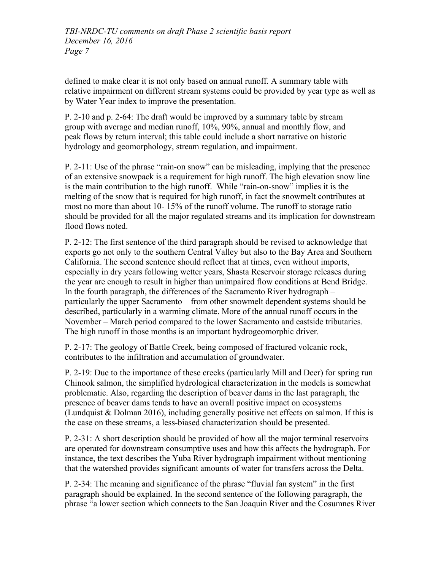defined to make clear it is not only based on annual runoff. A summary table with relative impairment on different stream systems could be provided by year type as well as by Water Year index to improve the presentation.

P. 2-10 and p. 2-64: The draft would be improved by a summary table by stream group with average and median runoff, 10%, 90%, annual and monthly flow, and peak flows by return interval; this table could include a short narrative on historic hydrology and geomorphology, stream regulation, and impairment.

P. 2-11: Use of the phrase "rain-on snow" can be misleading, implying that the presence of an extensive snowpack is a requirement for high runoff. The high elevation snow line is the main contribution to the high runoff. While "rain-on-snow" implies it is the melting of the snow that is required for high runoff, in fact the snowmelt contributes at most no more than about 10- 15% of the runoff volume. The runoff to storage ratio should be provided for all the major regulated streams and its implication for downstream flood flows noted.

P. 2-12: The first sentence of the third paragraph should be revised to acknowledge that exports go not only to the southern Central Valley but also to the Bay Area and Southern California. The second sentence should reflect that at times, even without imports, especially in dry years following wetter years, Shasta Reservoir storage releases during the year are enough to result in higher than unimpaired flow conditions at Bend Bridge. In the fourth paragraph, the differences of the Sacramento River hydrograph – particularly the upper Sacramento—from other snowmelt dependent systems should be described, particularly in a warming climate. More of the annual runoff occurs in the November – March period compared to the lower Sacramento and eastside tributaries. The high runoff in those months is an important hydrogeomorphic driver.

P. 2-17: The geology of Battle Creek, being composed of fractured volcanic rock, contributes to the infiltration and accumulation of groundwater.

P. 2-19: Due to the importance of these creeks (particularly Mill and Deer) for spring run Chinook salmon, the simplified hydrological characterization in the models is somewhat problematic. Also, regarding the description of beaver dams in the last paragraph, the presence of beaver dams tends to have an overall positive impact on ecosystems (Lundquist  $&$  Dolman 2016), including generally positive net effects on salmon. If this is the case on these streams, a less-biased characterization should be presented.

P. 2-31: A short description should be provided of how all the major terminal reservoirs are operated for downstream consumptive uses and how this affects the hydrograph. For instance, the text describes the Yuba River hydrograph impairment without mentioning that the watershed provides significant amounts of water for transfers across the Delta.

P. 2-34: The meaning and significance of the phrase "fluvial fan system" in the first paragraph should be explained. In the second sentence of the following paragraph, the phrase "a lower section which connects to the San Joaquin River and the Cosumnes River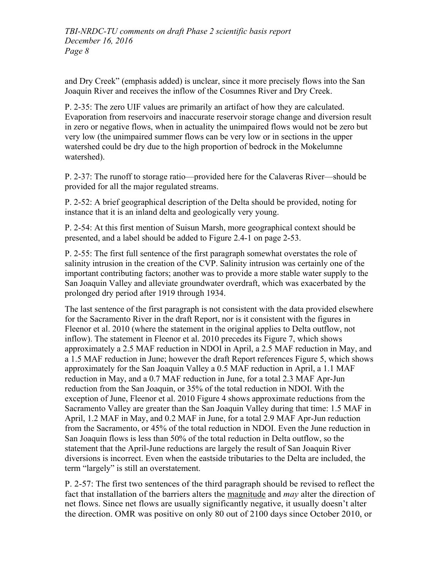and Dry Creek" (emphasis added) is unclear, since it more precisely flows into the San Joaquin River and receives the inflow of the Cosumnes River and Dry Creek.

P. 2-35: The zero UIF values are primarily an artifact of how they are calculated. Evaporation from reservoirs and inaccurate reservoir storage change and diversion result in zero or negative flows, when in actuality the unimpaired flows would not be zero but very low (the unimpaired summer flows can be very low or in sections in the upper watershed could be dry due to the high proportion of bedrock in the Mokelumne watershed).

P. 2-37: The runoff to storage ratio—provided here for the Calaveras River—should be provided for all the major regulated streams.

P. 2-52: A brief geographical description of the Delta should be provided, noting for instance that it is an inland delta and geologically very young.

P. 2-54: At this first mention of Suisun Marsh, more geographical context should be presented, and a label should be added to Figure 2.4-1 on page 2-53.

P. 2-55: The first full sentence of the first paragraph somewhat overstates the role of salinity intrusion in the creation of the CVP. Salinity intrusion was certainly one of the important contributing factors; another was to provide a more stable water supply to the San Joaquin Valley and alleviate groundwater overdraft, which was exacerbated by the prolonged dry period after 1919 through 1934.

The last sentence of the first paragraph is not consistent with the data provided elsewhere for the Sacramento River in the draft Report, nor is it consistent with the figures in Fleenor et al. 2010 (where the statement in the original applies to Delta outflow, not inflow). The statement in Fleenor et al. 2010 precedes its Figure 7, which shows approximately a 2.5 MAF reduction in NDOI in April, a 2.5 MAF reduction in May, and a 1.5 MAF reduction in June; however the draft Report references Figure 5, which shows approximately for the San Joaquin Valley a 0.5 MAF reduction in April, a 1.1 MAF reduction in May, and a 0.7 MAF reduction in June, for a total 2.3 MAF Apr-Jun reduction from the San Joaquin, or 35% of the total reduction in NDOI. With the exception of June, Fleenor et al. 2010 Figure 4 shows approximate reductions from the Sacramento Valley are greater than the San Joaquin Valley during that time: 1.5 MAF in April, 1.2 MAF in May, and 0.2 MAF in June, for a total 2.9 MAF Apr-Jun reduction from the Sacramento, or 45% of the total reduction in NDOI. Even the June reduction in San Joaquin flows is less than 50% of the total reduction in Delta outflow, so the statement that the April-June reductions are largely the result of San Joaquin River diversions is incorrect. Even when the eastside tributaries to the Delta are included, the term "largely" is still an overstatement.

P. 2-57: The first two sentences of the third paragraph should be revised to reflect the fact that installation of the barriers alters the magnitude and *may* alter the direction of net flows. Since net flows are usually significantly negative, it usually doesn't alter the direction. OMR was positive on only 80 out of 2100 days since October 2010, or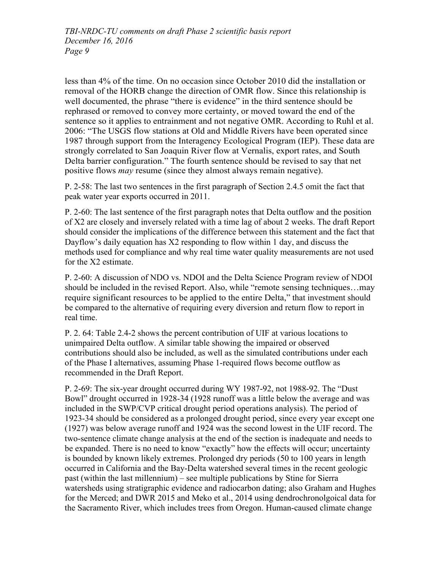less than 4% of the time. On no occasion since October 2010 did the installation or removal of the HORB change the direction of OMR flow. Since this relationship is well documented, the phrase "there is evidence" in the third sentence should be rephrased or removed to convey more certainty, or moved toward the end of the sentence so it applies to entrainment and not negative OMR. According to Ruhl et al. 2006: "The USGS flow stations at Old and Middle Rivers have been operated since 1987 through support from the Interagency Ecological Program (IEP). These data are strongly correlated to San Joaquin River flow at Vernalis, export rates, and South Delta barrier configuration." The fourth sentence should be revised to say that net positive flows *may* resume (since they almost always remain negative).

P. 2-58: The last two sentences in the first paragraph of Section 2.4.5 omit the fact that peak water year exports occurred in 2011.

P. 2-60: The last sentence of the first paragraph notes that Delta outflow and the position of X2 are closely and inversely related with a time lag of about 2 weeks. The draft Report should consider the implications of the difference between this statement and the fact that Dayflow's daily equation has X2 responding to flow within 1 day, and discuss the methods used for compliance and why real time water quality measurements are not used for the X2 estimate.

P. 2-60: A discussion of NDO vs. NDOI and the Delta Science Program review of NDOI should be included in the revised Report. Also, while "remote sensing techniques…may require significant resources to be applied to the entire Delta," that investment should be compared to the alternative of requiring every diversion and return flow to report in real time.

P. 2. 64: Table 2.4-2 shows the percent contribution of UIF at various locations to unimpaired Delta outflow. A similar table showing the impaired or observed contributions should also be included, as well as the simulated contributions under each of the Phase I alternatives, assuming Phase 1-required flows become outflow as recommended in the Draft Report.

P. 2-69: The six-year drought occurred during WY 1987-92, not 1988-92. The "Dust Bowl" drought occurred in 1928-34 (1928 runoff was a little below the average and was included in the SWP/CVP critical drought period operations analysis). The period of 1923-34 should be considered as a prolonged drought period, since every year except one (1927) was below average runoff and 1924 was the second lowest in the UIF record. The two-sentence climate change analysis at the end of the section is inadequate and needs to be expanded. There is no need to know "exactly" how the effects will occur; uncertainty is bounded by known likely extremes. Prolonged dry periods (50 to 100 years in length occurred in California and the Bay-Delta watershed several times in the recent geologic past (within the last millennium) – see multiple publications by Stine for Sierra watersheds using stratigraphic evidence and radiocarbon dating; also Graham and Hughes for the Merced; and DWR 2015 and Meko et al., 2014 using dendrochronolgoical data for the Sacramento River, which includes trees from Oregon. Human-caused climate change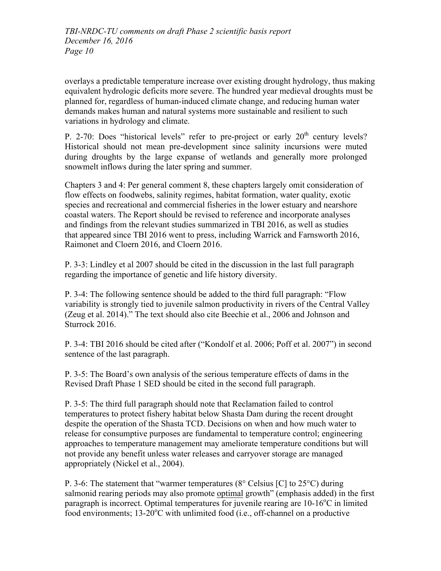overlays a predictable temperature increase over existing drought hydrology, thus making equivalent hydrologic deficits more severe. The hundred year medieval droughts must be planned for, regardless of human-induced climate change, and reducing human water demands makes human and natural systems more sustainable and resilient to such variations in hydrology and climate.

P. 2-70: Does "historical levels" refer to pre-project or early  $20<sup>th</sup>$  century levels? Historical should not mean pre-development since salinity incursions were muted during droughts by the large expanse of wetlands and generally more prolonged snowmelt inflows during the later spring and summer.

Chapters 3 and 4: Per general comment 8, these chapters largely omit consideration of flow effects on foodwebs, salinity regimes, habitat formation, water quality, exotic species and recreational and commercial fisheries in the lower estuary and nearshore coastal waters. The Report should be revised to reference and incorporate analyses and findings from the relevant studies summarized in TBI 2016, as well as studies that appeared since TBI 2016 went to press, including Warrick and Farnsworth 2016, Raimonet and Cloern 2016, and Cloern 2016.

P. 3-3: Lindley et al 2007 should be cited in the discussion in the last full paragraph regarding the importance of genetic and life history diversity.

P. 3-4: The following sentence should be added to the third full paragraph: "Flow variability is strongly tied to juvenile salmon productivity in rivers of the Central Valley (Zeug et al. 2014)." The text should also cite Beechie et al., 2006 and Johnson and Sturrock 2016.

P. 3-4: TBI 2016 should be cited after ("Kondolf et al. 2006; Poff et al. 2007") in second sentence of the last paragraph.

P. 3-5: The Board's own analysis of the serious temperature effects of dams in the Revised Draft Phase 1 SED should be cited in the second full paragraph.

P. 3-5: The third full paragraph should note that Reclamation failed to control temperatures to protect fishery habitat below Shasta Dam during the recent drought despite the operation of the Shasta TCD. Decisions on when and how much water to release for consumptive purposes are fundamental to temperature control; engineering approaches to temperature management may ameliorate temperature conditions but will not provide any benefit unless water releases and carryover storage are managed appropriately (Nickel et al., 2004).

P. 3-6: The statement that "warmer temperatures (8° Celsius [C] to 25°C) during salmonid rearing periods may also promote optimal growth" (emphasis added) in the first paragraph is incorrect. Optimal temperatures for juvenile rearing are 10-16°C in limited food environments;  $13{\text -}20^{\circ}$ C with unlimited food (i.e., off-channel on a productive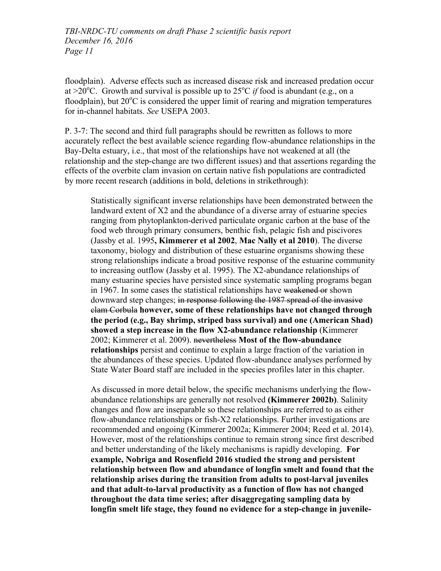floodplain). Adverse effects such as increased disease risk and increased predation occur at >20<sup>o</sup>C. Growth and survival is possible up to 25<sup>o</sup>C *if* food is abundant (e.g., on a floodplain), but  $20^{\circ}$ C is considered the upper limit of rearing and migration temperatures for in-channel habitats. *See* USEPA 2003.

P. 3-7: The second and third full paragraphs should be rewritten as follows to more accurately reflect the best available science regarding flow-abundance relationships in the Bay-Delta estuary, i.e., that most of the relationships have not weakened at all (the relationship and the step-change are two different issues) and that assertions regarding the effects of the overbite clam invasion on certain native fish populations are contradicted by more recent research (additions in bold, deletions in strikethrough):

Statistically significant inverse relationships have been demonstrated between the landward extent of X2 and the abundance of a diverse array of estuarine species ranging from phytoplankton-derived particulate organic carbon at the base of the food web through primary consumers, benthic fish, pelagic fish and piscivores (Jassby et al. 1995**, Kimmerer et al 2002**, **Mac Nally et al 2010**). The diverse taxonomy, biology and distribution of these estuarine organisms showing these strong relationships indicate a broad positive response of the estuarine community to increasing outflow (Jassby et al. 1995). The X2-abundance relationships of many estuarine species have persisted since systematic sampling programs began in 1967. In some cases the statistical relationships have weakened or shown downward step changes; in response following the 1987 spread of the invasive clam Corbula **however, some of these relationships have not changed through the period (e.g., Bay shrimp, striped bass survival) and one (American Shad) showed a step increase in the flow X2-abundance relationship** (Kimmerer 2002; Kimmerer et al. 2009). nevertheless **Most of the flow-abundance relationships** persist and continue to explain a large fraction of the variation in the abundances of these species. Updated flow-abundance analyses performed by State Water Board staff are included in the species profiles later in this chapter.

As discussed in more detail below, the specific mechanisms underlying the flowabundance relationships are generally not resolved **(Kimmerer 2002b)**. Salinity changes and flow are inseparable so these relationships are referred to as either flow-abundance relationships or fish-X2 relationships. Further investigations are recommended and ongoing (Kimmerer 2002a; Kimmerer 2004; Reed et al. 2014). However, most of the relationships continue to remain strong since first described and better understanding of the likely mechanisms is rapidly developing. **For example, Nobriga and Rosenfield 2016 studied the strong and persistent relationship between flow and abundance of longfin smelt and found that the relationship arises during the transition from adults to post-larval juveniles and that adult-to-larval productivity as a function of flow has not changed throughout the data time series; after disaggregating sampling data by longfin smelt life stage, they found no evidence for a step-change in juvenile-**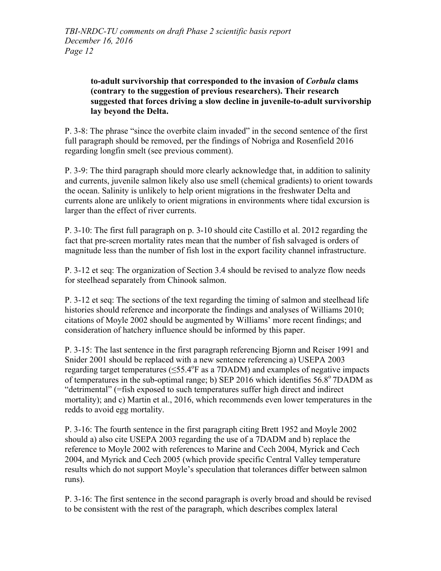## **to-adult survivorship that corresponded to the invasion of** *Corbula* **clams (contrary to the suggestion of previous researchers). Their research suggested that forces driving a slow decline in juvenile-to-adult survivorship lay beyond the Delta.**

P. 3-8: The phrase "since the overbite claim invaded" in the second sentence of the first full paragraph should be removed, per the findings of Nobriga and Rosenfield 2016 regarding longfin smelt (see previous comment).

P. 3-9: The third paragraph should more clearly acknowledge that, in addition to salinity and currents, juvenile salmon likely also use smell (chemical gradients) to orient towards the ocean. Salinity is unlikely to help orient migrations in the freshwater Delta and currents alone are unlikely to orient migrations in environments where tidal excursion is larger than the effect of river currents.

P. 3-10: The first full paragraph on p. 3-10 should cite Castillo et al. 2012 regarding the fact that pre-screen mortality rates mean that the number of fish salvaged is orders of magnitude less than the number of fish lost in the export facility channel infrastructure.

P. 3-12 et seq: The organization of Section 3.4 should be revised to analyze flow needs for steelhead separately from Chinook salmon.

P. 3-12 et seq: The sections of the text regarding the timing of salmon and steelhead life histories should reference and incorporate the findings and analyses of Williams 2010; citations of Moyle 2002 should be augmented by Williams' more recent findings; and consideration of hatchery influence should be informed by this paper.

P. 3-15: The last sentence in the first paragraph referencing Bjornn and Reiser 1991 and Snider 2001 should be replaced with a new sentence referencing a) USEPA 2003 regarding target temperatures  $(\leq 55.4^{\circ}$  F as a 7DADM) and examples of negative impacts of temperatures in the sub-optimal range; b) SEP 2016 which identifies  $56.8^{\circ}$  7DADM as "detrimental" (=fish exposed to such temperatures suffer high direct and indirect mortality); and c) Martin et al., 2016, which recommends even lower temperatures in the redds to avoid egg mortality.

P. 3-16: The fourth sentence in the first paragraph citing Brett 1952 and Moyle 2002 should a) also cite USEPA 2003 regarding the use of a 7DADM and b) replace the reference to Moyle 2002 with references to Marine and Cech 2004, Myrick and Cech 2004, and Myrick and Cech 2005 (which provide specific Central Valley temperature results which do not support Moyle's speculation that tolerances differ between salmon runs).

P. 3-16: The first sentence in the second paragraph is overly broad and should be revised to be consistent with the rest of the paragraph, which describes complex lateral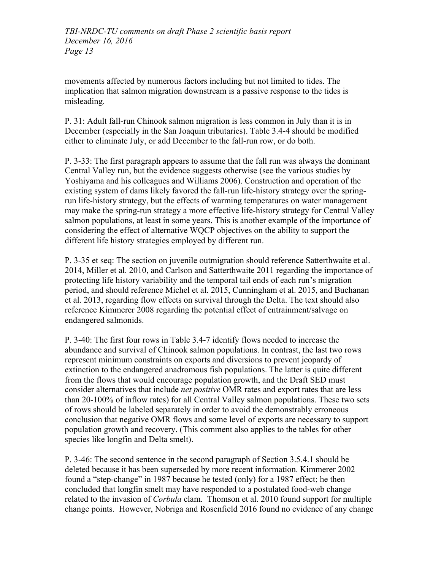movements affected by numerous factors including but not limited to tides. The implication that salmon migration downstream is a passive response to the tides is misleading.

P. 31: Adult fall-run Chinook salmon migration is less common in July than it is in December (especially in the San Joaquin tributaries). Table 3.4-4 should be modified either to eliminate July, or add December to the fall-run row, or do both.

P. 3-33: The first paragraph appears to assume that the fall run was always the dominant Central Valley run, but the evidence suggests otherwise (see the various studies by Yoshiyama and his colleagues and Williams 2006). Construction and operation of the existing system of dams likely favored the fall-run life-history strategy over the springrun life-history strategy, but the effects of warming temperatures on water management may make the spring-run strategy a more effective life-history strategy for Central Valley salmon populations, at least in some years. This is another example of the importance of considering the effect of alternative WQCP objectives on the ability to support the different life history strategies employed by different run.

P. 3-35 et seq: The section on juvenile outmigration should reference Satterthwaite et al. 2014, Miller et al. 2010, and Carlson and Satterthwaite 2011 regarding the importance of protecting life history variability and the temporal tail ends of each run's migration period, and should reference Michel et al. 2015, Cunningham et al. 2015, and Buchanan et al. 2013, regarding flow effects on survival through the Delta. The text should also reference Kimmerer 2008 regarding the potential effect of entrainment/salvage on endangered salmonids.

P. 3-40: The first four rows in Table 3.4-7 identify flows needed to increase the abundance and survival of Chinook salmon populations. In contrast, the last two rows represent minimum constraints on exports and diversions to prevent jeopardy of extinction to the endangered anadromous fish populations. The latter is quite different from the flows that would encourage population growth, and the Draft SED must consider alternatives that include *net positive* OMR rates and export rates that are less than 20-100% of inflow rates) for all Central Valley salmon populations. These two sets of rows should be labeled separately in order to avoid the demonstrably erroneous conclusion that negative OMR flows and some level of exports are necessary to support population growth and recovery. (This comment also applies to the tables for other species like longfin and Delta smelt).

P. 3-46: The second sentence in the second paragraph of Section 3.5.4.1 should be deleted because it has been superseded by more recent information. Kimmerer 2002 found a "step-change" in 1987 because he tested (only) for a 1987 effect; he then concluded that longfin smelt may have responded to a postulated food-web change related to the invasion of *Corbula* clam. Thomson et al. 2010 found support for multiple change points. However, Nobriga and Rosenfield 2016 found no evidence of any change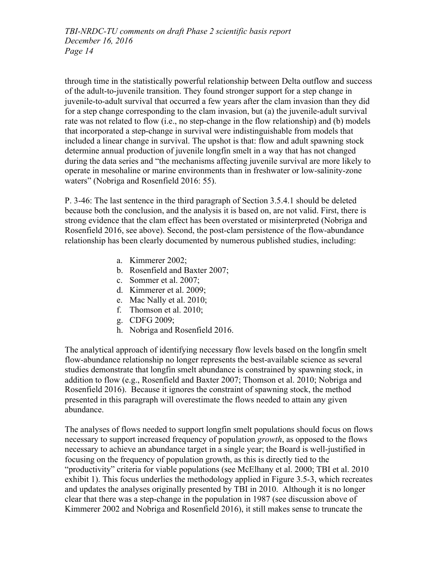through time in the statistically powerful relationship between Delta outflow and success of the adult-to-juvenile transition. They found stronger support for a step change in juvenile-to-adult survival that occurred a few years after the clam invasion than they did for a step change corresponding to the clam invasion, but (a) the juvenile-adult survival rate was not related to flow (i.e., no step-change in the flow relationship) and (b) models that incorporated a step-change in survival were indistinguishable from models that included a linear change in survival. The upshot is that: flow and adult spawning stock determine annual production of juvenile longfin smelt in a way that has not changed during the data series and "the mechanisms affecting juvenile survival are more likely to operate in mesohaline or marine environments than in freshwater or low-salinity-zone waters" (Nobriga and Rosenfield 2016: 55).

P. 3-46: The last sentence in the third paragraph of Section 3.5.4.1 should be deleted because both the conclusion, and the analysis it is based on, are not valid. First, there is strong evidence that the clam effect has been overstated or misinterpreted (Nobriga and Rosenfield 2016, see above). Second, the post-clam persistence of the flow-abundance relationship has been clearly documented by numerous published studies, including:

- a. Kimmerer 2002;
- b. Rosenfield and Baxter 2007;
- c. Sommer et al. 2007;
- d. Kimmerer et al. 2009;
- e. Mac Nally et al. 2010;
- f. Thomson et al. 2010;
- g. CDFG 2009;
- h. Nobriga and Rosenfield 2016.

The analytical approach of identifying necessary flow levels based on the longfin smelt flow-abundance relationship no longer represents the best-available science as several studies demonstrate that longfin smelt abundance is constrained by spawning stock, in addition to flow (e.g., Rosenfield and Baxter 2007; Thomson et al. 2010; Nobriga and Rosenfield 2016). Because it ignores the constraint of spawning stock, the method presented in this paragraph will overestimate the flows needed to attain any given abundance.

The analyses of flows needed to support longfin smelt populations should focus on flows necessary to support increased frequency of population *growth*, as opposed to the flows necessary to achieve an abundance target in a single year; the Board is well-justified in focusing on the frequency of population growth, as this is directly tied to the "productivity" criteria for viable populations (see McElhany et al. 2000; TBI et al. 2010 exhibit 1). This focus underlies the methodology applied in Figure 3.5-3, which recreates and updates the analyses originally presented by TBI in 2010. Although it is no longer clear that there was a step-change in the population in 1987 (see discussion above of Kimmerer 2002 and Nobriga and Rosenfield 2016), it still makes sense to truncate the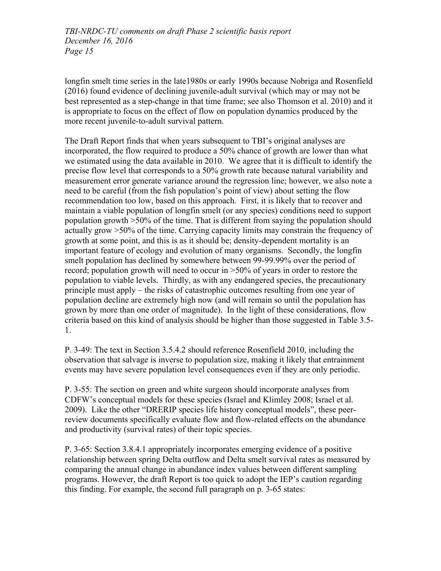longfin smelt time series in the late1980s or early 1990s because Nobriga and Rosenfield (2016) found evidence of declining juvenile-adult survival (which may or may not be best represented as a step-change in that time frame; see also Thomson et al. 2010) and it is appropriate to focus on the effect of flow on population dynamics produced by the more recent juvenile-to-adult survival pattern.

The Draft Report finds that when years subsequent to TBI's original analyses are incorporated, the flow required to produce a 50% chance of growth are lower than what we estimated using the data available in 2010. We agree that it is difficult to identify the precise flow level that corresponds to a 50% growth rate because natural variability and measurement error generate variance around the regression line; however, we also note a need to be careful (from the fish population's point of view) about setting the flow recommendation too low, based on this approach. First, it is likely that to recover and maintain a viable population of longfin smelt (or any species) conditions need to support population growth >50% of the time. That is different from saying the population should actually grow >50% of the time. Carrying capacity limits may constrain the frequency of growth at some point, and this is as it should be; density-dependent mortality is an important feature of ecology and evolution of many organisms. Secondly, the longfin smelt population has declined by somewhere between 99-99.99% over the period of record; population growth will need to occur in >50% of years in order to restore the population to viable levels. Thirdly, as with any endangered species, the precautionary principle must apply – the risks of catastrophic outcomes resulting from one year of population decline are extremely high now (and will remain so until the population has grown by more than one order of magnitude). In the light of these considerations, flow criteria based on this kind of analysis should be higher than those suggested in Table 3.5- 1.

P. 3-49: The text in Section 3.5.4.2 should reference Rosenfield 2010, including the observation that salvage is inverse to population size, making it likely that entrainment events may have severe population level consequences even if they are only periodic.

P. 3-55: The section on green and white surgeon should incorporate analyses from CDFW's conceptual models for these species (Israel and Klimley 2008; Israel et al. 2009). Like the other "DRERIP species life history conceptual models", these peerreview documents specifically evaluate flow and flow-related effects on the abundance and productivity (survival rates) of their topic species.

P. 3-65: Section 3.8.4.1 appropriately incorporates emerging evidence of a positive relationship between spring Delta outflow and Delta smelt survival rates as measured by comparing the annual change in abundance index values between different sampling programs. However, the draft Report is too quick to adopt the IEP's caution regarding this finding. For example, the second full paragraph on p. 3-65 states: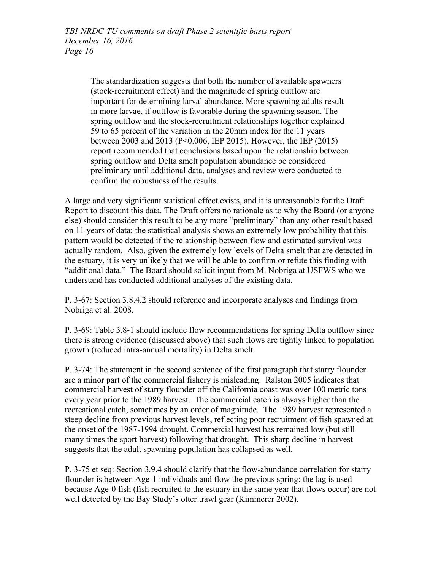The standardization suggests that both the number of available spawners (stock-recruitment effect) and the magnitude of spring outflow are important for determining larval abundance. More spawning adults result in more larvae, if outflow is favorable during the spawning season. The spring outflow and the stock-recruitment relationships together explained 59 to 65 percent of the variation in the 20mm index for the 11 years between 2003 and 2013 (P<0.006, IEP 2015). However, the IEP (2015) report recommended that conclusions based upon the relationship between spring outflow and Delta smelt population abundance be considered preliminary until additional data, analyses and review were conducted to confirm the robustness of the results.

A large and very significant statistical effect exists, and it is unreasonable for the Draft Report to discount this data. The Draft offers no rationale as to why the Board (or anyone else) should consider this result to be any more "preliminary" than any other result based on 11 years of data; the statistical analysis shows an extremely low probability that this pattern would be detected if the relationship between flow and estimated survival was actually random. Also, given the extremely low levels of Delta smelt that are detected in the estuary, it is very unlikely that we will be able to confirm or refute this finding with "additional data." The Board should solicit input from M. Nobriga at USFWS who we understand has conducted additional analyses of the existing data.

P. 3-67: Section 3.8.4.2 should reference and incorporate analyses and findings from Nobriga et al. 2008.

P. 3-69: Table 3.8-1 should include flow recommendations for spring Delta outflow since there is strong evidence (discussed above) that such flows are tightly linked to population growth (reduced intra-annual mortality) in Delta smelt.

P. 3-74: The statement in the second sentence of the first paragraph that starry flounder are a minor part of the commercial fishery is misleading. Ralston 2005 indicates that commercial harvest of starry flounder off the California coast was over 100 metric tons every year prior to the 1989 harvest. The commercial catch is always higher than the recreational catch, sometimes by an order of magnitude. The 1989 harvest represented a steep decline from previous harvest levels, reflecting poor recruitment of fish spawned at the onset of the 1987-1994 drought. Commercial harvest has remained low (but still many times the sport harvest) following that drought. This sharp decline in harvest suggests that the adult spawning population has collapsed as well.

P. 3-75 et seq: Section 3.9.4 should clarify that the flow-abundance correlation for starry flounder is between Age-1 individuals and flow the previous spring; the lag is used because Age-0 fish (fish recruited to the estuary in the same year that flows occur) are not well detected by the Bay Study's otter trawl gear (Kimmerer 2002).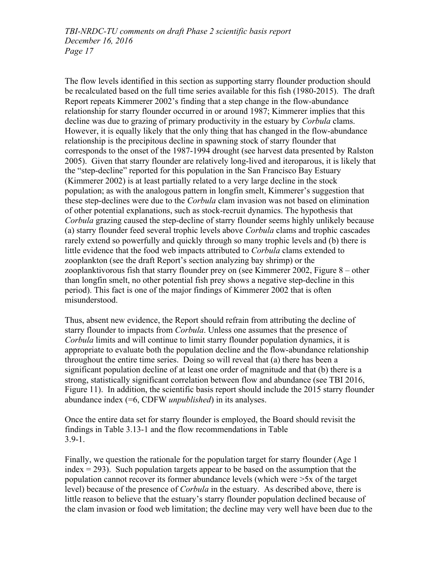The flow levels identified in this section as supporting starry flounder production should be recalculated based on the full time series available for this fish (1980-2015). The draft Report repeats Kimmerer 2002's finding that a step change in the flow-abundance relationship for starry flounder occurred in or around 1987; Kimmerer implies that this decline was due to grazing of primary productivity in the estuary by *Corbula* clams. However, it is equally likely that the only thing that has changed in the flow-abundance relationship is the precipitous decline in spawning stock of starry flounder that corresponds to the onset of the 1987-1994 drought (see harvest data presented by Ralston 2005). Given that starry flounder are relatively long-lived and iteroparous, it is likely that the "step-decline" reported for this population in the San Francisco Bay Estuary (Kimmerer 2002) is at least partially related to a very large decline in the stock population; as with the analogous pattern in longfin smelt, Kimmerer's suggestion that these step-declines were due to the *Corbula* clam invasion was not based on elimination of other potential explanations, such as stock-recruit dynamics. The hypothesis that *Corbula* grazing caused the step-decline of starry flounder seems highly unlikely because (a) starry flounder feed several trophic levels above *Corbula* clams and trophic cascades rarely extend so powerfully and quickly through so many trophic levels and (b) there is little evidence that the food web impacts attributed to *Corbula* clams extended to zooplankton (see the draft Report's section analyzing bay shrimp) or the zooplanktivorous fish that starry flounder prey on (see Kimmerer 2002, Figure 8 – other than longfin smelt, no other potential fish prey shows a negative step-decline in this period). This fact is one of the major findings of Kimmerer 2002 that is often misunderstood.

Thus, absent new evidence, the Report should refrain from attributing the decline of starry flounder to impacts from *Corbula*. Unless one assumes that the presence of *Corbula* limits and will continue to limit starry flounder population dynamics, it is appropriate to evaluate both the population decline and the flow-abundance relationship throughout the entire time series. Doing so will reveal that (a) there has been a significant population decline of at least one order of magnitude and that (b) there is a strong, statistically significant correlation between flow and abundance (see TBI 2016, Figure 11). In addition, the scientific basis report should include the 2015 starry flounder abundance index (=6, CDFW *unpublished*) in its analyses.

Once the entire data set for starry flounder is employed, the Board should revisit the findings in Table 3.13-1 and the flow recommendations in Table 3.9-1.

Finally, we question the rationale for the population target for starry flounder (Age 1  $index = 293$ . Such population targets appear to be based on the assumption that the population cannot recover its former abundance levels (which were >5x of the target level) because of the presence of *Corbula* in the estuary. As described above, there is little reason to believe that the estuary's starry flounder population declined because of the clam invasion or food web limitation; the decline may very well have been due to the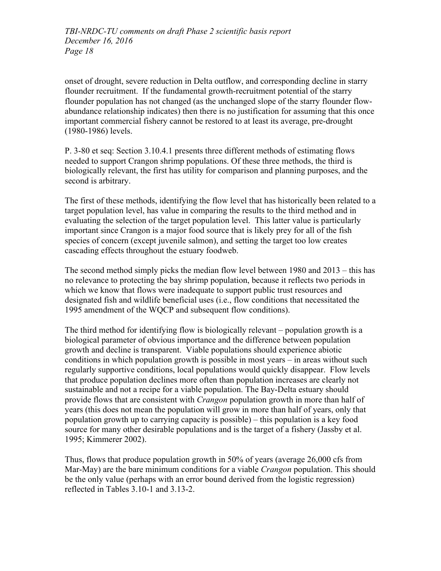onset of drought, severe reduction in Delta outflow, and corresponding decline in starry flounder recruitment. If the fundamental growth-recruitment potential of the starry flounder population has not changed (as the unchanged slope of the starry flounder flowabundance relationship indicates) then there is no justification for assuming that this once important commercial fishery cannot be restored to at least its average, pre-drought (1980-1986) levels.

P. 3-80 et seq: Section 3.10.4.1 presents three different methods of estimating flows needed to support Crangon shrimp populations. Of these three methods, the third is biologically relevant, the first has utility for comparison and planning purposes, and the second is arbitrary.

The first of these methods, identifying the flow level that has historically been related to a target population level, has value in comparing the results to the third method and in evaluating the selection of the target population level. This latter value is particularly important since Crangon is a major food source that is likely prey for all of the fish species of concern (except juvenile salmon), and setting the target too low creates cascading effects throughout the estuary foodweb.

The second method simply picks the median flow level between 1980 and 2013 – this has no relevance to protecting the bay shrimp population, because it reflects two periods in which we know that flows were inadequate to support public trust resources and designated fish and wildlife beneficial uses (i.e., flow conditions that necessitated the 1995 amendment of the WQCP and subsequent flow conditions).

The third method for identifying flow is biologically relevant – population growth is a biological parameter of obvious importance and the difference between population growth and decline is transparent. Viable populations should experience abiotic conditions in which population growth is possible in most years – in areas without such regularly supportive conditions, local populations would quickly disappear. Flow levels that produce population declines more often than population increases are clearly not sustainable and not a recipe for a viable population. The Bay-Delta estuary should provide flows that are consistent with *Crangon* population growth in more than half of years (this does not mean the population will grow in more than half of years, only that population growth up to carrying capacity is possible) – this population is a key food source for many other desirable populations and is the target of a fishery (Jassby et al. 1995; Kimmerer 2002).

Thus, flows that produce population growth in 50% of years (average 26,000 cfs from Mar-May) are the bare minimum conditions for a viable *Crangon* population. This should be the only value (perhaps with an error bound derived from the logistic regression) reflected in Tables 3.10-1 and 3.13-2.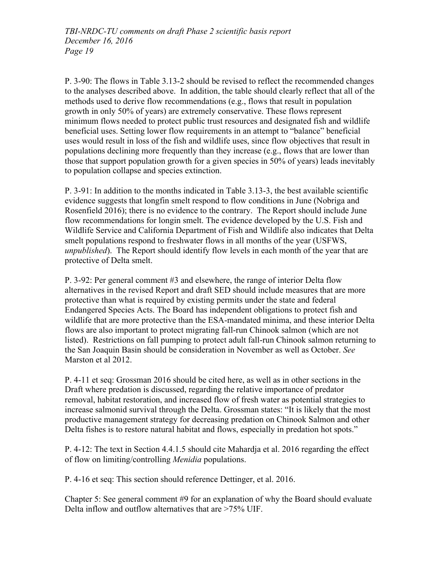P. 3-90: The flows in Table 3.13-2 should be revised to reflect the recommended changes to the analyses described above. In addition, the table should clearly reflect that all of the methods used to derive flow recommendations (e.g., flows that result in population growth in only 50% of years) are extremely conservative. These flows represent minimum flows needed to protect public trust resources and designated fish and wildlife beneficial uses. Setting lower flow requirements in an attempt to "balance" beneficial uses would result in loss of the fish and wildlife uses, since flow objectives that result in populations declining more frequently than they increase (e.g., flows that are lower than those that support population growth for a given species in 50% of years) leads inevitably to population collapse and species extinction.

P. 3-91: In addition to the months indicated in Table 3.13-3, the best available scientific evidence suggests that longfin smelt respond to flow conditions in June (Nobriga and Rosenfield 2016); there is no evidence to the contrary. The Report should include June flow recommendations for longin smelt. The evidence developed by the U.S. Fish and Wildlife Service and California Department of Fish and Wildlife also indicates that Delta smelt populations respond to freshwater flows in all months of the year (USFWS, *unpublished*). The Report should identify flow levels in each month of the year that are protective of Delta smelt.

P. 3-92: Per general comment #3 and elsewhere, the range of interior Delta flow alternatives in the revised Report and draft SED should include measures that are more protective than what is required by existing permits under the state and federal Endangered Species Acts. The Board has independent obligations to protect fish and wildlife that are more protective than the ESA-mandated minima, and these interior Delta flows are also important to protect migrating fall-run Chinook salmon (which are not listed). Restrictions on fall pumping to protect adult fall-run Chinook salmon returning to the San Joaquin Basin should be consideration in November as well as October. *See* Marston et al 2012.

P. 4-11 et seq: Grossman 2016 should be cited here, as well as in other sections in the Draft where predation is discussed, regarding the relative importance of predator removal, habitat restoration, and increased flow of fresh water as potential strategies to increase salmonid survival through the Delta. Grossman states: "It is likely that the most productive management strategy for decreasing predation on Chinook Salmon and other Delta fishes is to restore natural habitat and flows, especially in predation hot spots."

P. 4-12: The text in Section 4.4.1.5 should cite Mahardja et al. 2016 regarding the effect of flow on limiting/controlling *Menidia* populations.

P. 4-16 et seq: This section should reference Dettinger, et al. 2016.

Chapter 5: See general comment #9 for an explanation of why the Board should evaluate Delta inflow and outflow alternatives that are >75% UIF.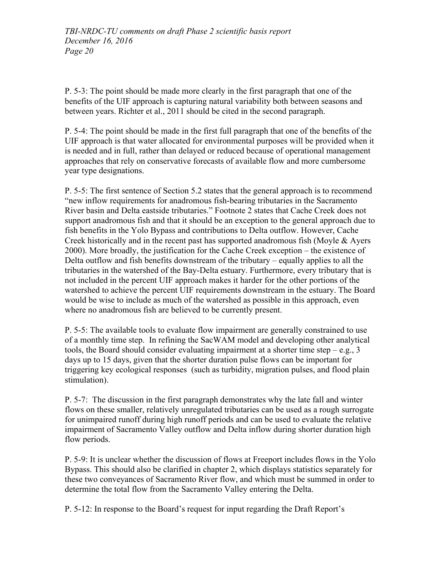P. 5-3: The point should be made more clearly in the first paragraph that one of the benefits of the UIF approach is capturing natural variability both between seasons and between years. Richter et al., 2011 should be cited in the second paragraph.

P. 5-4: The point should be made in the first full paragraph that one of the benefits of the UIF approach is that water allocated for environmental purposes will be provided when it is needed and in full, rather than delayed or reduced because of operational management approaches that rely on conservative forecasts of available flow and more cumbersome year type designations.

P. 5-5: The first sentence of Section 5.2 states that the general approach is to recommend "new inflow requirements for anadromous fish-bearing tributaries in the Sacramento River basin and Delta eastside tributaries." Footnote 2 states that Cache Creek does not support anadromous fish and that it should be an exception to the general approach due to fish benefits in the Yolo Bypass and contributions to Delta outflow. However, Cache Creek historically and in the recent past has supported anadromous fish (Moyle & Ayers 2000). More broadly, the justification for the Cache Creek exception – the existence of Delta outflow and fish benefits downstream of the tributary – equally applies to all the tributaries in the watershed of the Bay-Delta estuary. Furthermore, every tributary that is not included in the percent UIF approach makes it harder for the other portions of the watershed to achieve the percent UIF requirements downstream in the estuary. The Board would be wise to include as much of the watershed as possible in this approach, even where no anadromous fish are believed to be currently present.

P. 5-5: The available tools to evaluate flow impairment are generally constrained to use of a monthly time step. In refining the SacWAM model and developing other analytical tools, the Board should consider evaluating impairment at a shorter time step  $-e.g., 3$ days up to 15 days, given that the shorter duration pulse flows can be important for triggering key ecological responses (such as turbidity, migration pulses, and flood plain stimulation).

P. 5-7: The discussion in the first paragraph demonstrates why the late fall and winter flows on these smaller, relatively unregulated tributaries can be used as a rough surrogate for unimpaired runoff during high runoff periods and can be used to evaluate the relative impairment of Sacramento Valley outflow and Delta inflow during shorter duration high flow periods.

P. 5-9: It is unclear whether the discussion of flows at Freeport includes flows in the Yolo Bypass. This should also be clarified in chapter 2, which displays statistics separately for these two conveyances of Sacramento River flow, and which must be summed in order to determine the total flow from the Sacramento Valley entering the Delta.

P. 5-12: In response to the Board's request for input regarding the Draft Report's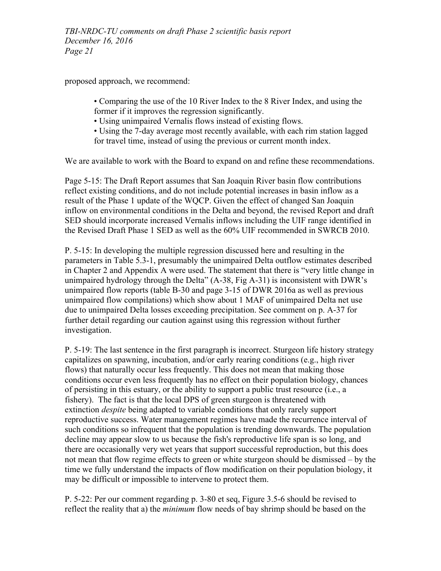proposed approach, we recommend:

• Comparing the use of the 10 River Index to the 8 River Index, and using the former if it improves the regression significantly.

• Using unimpaired Vernalis flows instead of existing flows.

• Using the 7-day average most recently available, with each rim station lagged for travel time, instead of using the previous or current month index.

We are available to work with the Board to expand on and refine these recommendations.

Page 5-15: The Draft Report assumes that San Joaquin River basin flow contributions reflect existing conditions, and do not include potential increases in basin inflow as a result of the Phase 1 update of the WQCP. Given the effect of changed San Joaquin inflow on environmental conditions in the Delta and beyond, the revised Report and draft SED should incorporate increased Vernalis inflows including the UIF range identified in the Revised Draft Phase 1 SED as well as the 60% UIF recommended in SWRCB 2010.

P. 5-15: In developing the multiple regression discussed here and resulting in the parameters in Table 5.3-1, presumably the unimpaired Delta outflow estimates described in Chapter 2 and Appendix A were used. The statement that there is "very little change in unimpaired hydrology through the Delta" (A-38, Fig A-31) is inconsistent with DWR's unimpaired flow reports (table B-30 and page 3-15 of DWR 2016a as well as previous unimpaired flow compilations) which show about 1 MAF of unimpaired Delta net use due to unimpaired Delta losses exceeding precipitation. See comment on p. A-37 for further detail regarding our caution against using this regression without further investigation.

P. 5-19: The last sentence in the first paragraph is incorrect. Sturgeon life history strategy capitalizes on spawning, incubation, and/or early rearing conditions (e.g., high river flows) that naturally occur less frequently. This does not mean that making those conditions occur even less frequently has no effect on their population biology, chances of persisting in this estuary, or the ability to support a public trust resource (i.e., a fishery). The fact is that the local DPS of green sturgeon is threatened with extinction *despite* being adapted to variable conditions that only rarely support reproductive success. Water management regimes have made the recurrence interval of such conditions so infrequent that the population is trending downwards. The population decline may appear slow to us because the fish's reproductive life span is so long, and there are occasionally very wet years that support successful reproduction, but this does not mean that flow regime effects to green or white sturgeon should be dismissed – by the time we fully understand the impacts of flow modification on their population biology, it may be difficult or impossible to intervene to protect them.

P. 5-22: Per our comment regarding p. 3-80 et seq, Figure 3.5-6 should be revised to reflect the reality that a) the *minimum* flow needs of bay shrimp should be based on the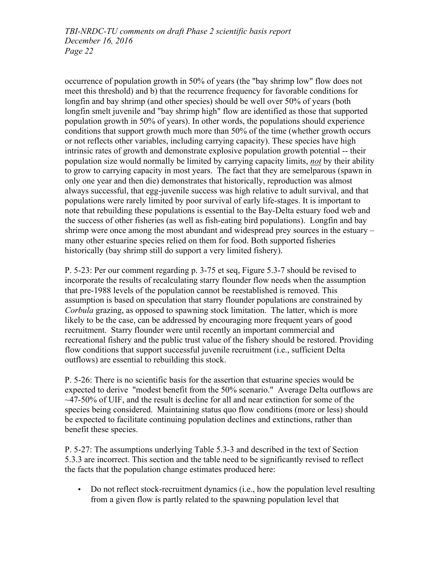occurrence of population growth in 50% of years (the "bay shrimp low" flow does not meet this threshold) and b) that the recurrence frequency for favorable conditions for longfin and bay shrimp (and other species) should be well over 50% of years (both longfin smelt juvenile and "bay shrimp high" flow are identified as those that supported population growth in 50% of years). In other words, the populations should experience conditions that support growth much more than 50% of the time (whether growth occurs or not reflects other variables, including carrying capacity). These species have high intrinsic rates of growth and demonstrate explosive population growth potential -- their population size would normally be limited by carrying capacity limits, *not* by their ability to grow to carrying capacity in most years. The fact that they are semelparous (spawn in only one year and then die) demonstrates that historically, reproduction was almost always successful, that egg-juvenile success was high relative to adult survival, and that populations were rarely limited by poor survival of early life-stages. It is important to note that rebuilding these populations is essential to the Bay-Delta estuary food web and the success of other fisheries (as well as fish-eating bird populations). Longfin and bay shrimp were once among the most abundant and widespread prey sources in the estuary – many other estuarine species relied on them for food. Both supported fisheries historically (bay shrimp still do support a very limited fishery).

P. 5-23: Per our comment regarding p. 3-75 et seq, Figure 5.3-7 should be revised to incorporate the results of recalculating starry flounder flow needs when the assumption that pre-1988 levels of the population cannot be reestablished is removed. This assumption is based on speculation that starry flounder populations are constrained by *Corbula* grazing, as opposed to spawning stock limitation. The latter, which is more likely to be the case, can be addressed by encouraging more frequent years of good recruitment. Starry flounder were until recently an important commercial and recreational fishery and the public trust value of the fishery should be restored. Providing flow conditions that support successful juvenile recruitment (i.e., sufficient Delta outflows) are essential to rebuilding this stock.

P. 5-26: There is no scientific basis for the assertion that estuarine species would be expected to derive "modest benefit from the 50% scenario." Average Delta outflows are  $\sim$ 47-50% of UIF, and the result is decline for all and near extinction for some of the species being considered. Maintaining status quo flow conditions (more or less) should be expected to facilitate continuing population declines and extinctions, rather than benefit these species.

P. 5-27: The assumptions underlying Table 5.3-3 and described in the text of Section 5.3.3 are incorrect. This section and the table need to be significantly revised to reflect the facts that the population change estimates produced here:

• Do not reflect stock-recruitment dynamics (i.e., how the population level resulting from a given flow is partly related to the spawning population level that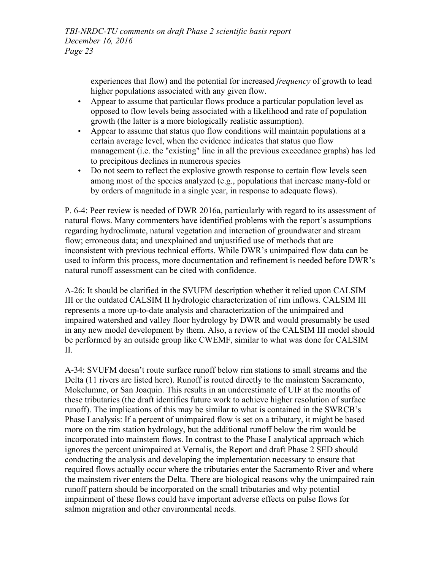> experiences that flow) and the potential for increased *frequency* of growth to lead higher populations associated with any given flow.

- Appear to assume that particular flows produce a particular population level as opposed to flow levels being associated with a likelihood and rate of population growth (the latter is a more biologically realistic assumption).
- Appear to assume that status quo flow conditions will maintain populations at a certain average level, when the evidence indicates that status quo flow management (i.e. the "existing" line in all the previous exceedance graphs) has led to precipitous declines in numerous species
- Do not seem to reflect the explosive growth response to certain flow levels seen among most of the species analyzed (e.g., populations that increase many-fold or by orders of magnitude in a single year, in response to adequate flows).

P. 6-4: Peer review is needed of DWR 2016a, particularly with regard to its assessment of natural flows. Many commenters have identified problems with the report's assumptions regarding hydroclimate, natural vegetation and interaction of groundwater and stream flow; erroneous data; and unexplained and unjustified use of methods that are inconsistent with previous technical efforts. While DWR's unimpaired flow data can be used to inform this process, more documentation and refinement is needed before DWR's natural runoff assessment can be cited with confidence.

A-26: It should be clarified in the SVUFM description whether it relied upon CALSIM III or the outdated CALSIM II hydrologic characterization of rim inflows. CALSIM III represents a more up-to-date analysis and characterization of the unimpaired and impaired watershed and valley floor hydrology by DWR and would presumably be used in any new model development by them. Also, a review of the CALSIM III model should be performed by an outside group like CWEMF, similar to what was done for CALSIM II.

A-34: SVUFM doesn't route surface runoff below rim stations to small streams and the Delta (11 rivers are listed here). Runoff is routed directly to the mainstem Sacramento, Mokelumne, or San Joaquin. This results in an underestimate of UIF at the mouths of these tributaries (the draft identifies future work to achieve higher resolution of surface runoff). The implications of this may be similar to what is contained in the SWRCB's Phase I analysis: If a percent of unimpaired flow is set on a tributary, it might be based more on the rim station hydrology, but the additional runoff below the rim would be incorporated into mainstem flows. In contrast to the Phase I analytical approach which ignores the percent unimpaired at Vernalis, the Report and draft Phase 2 SED should conducting the analysis and developing the implementation necessary to ensure that required flows actually occur where the tributaries enter the Sacramento River and where the mainstem river enters the Delta. There are biological reasons why the unimpaired rain runoff pattern should be incorporated on the small tributaries and why potential impairment of these flows could have important adverse effects on pulse flows for salmon migration and other environmental needs.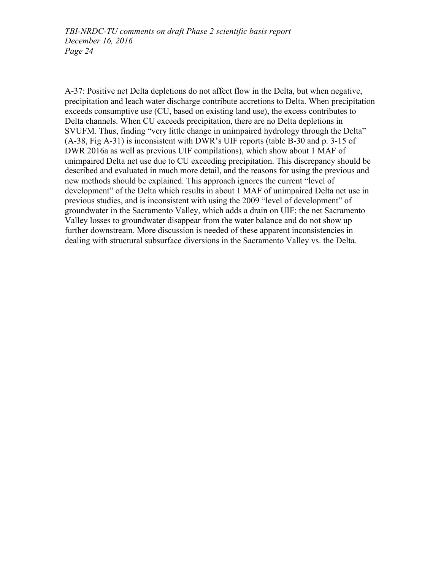A-37: Positive net Delta depletions do not affect flow in the Delta, but when negative, precipitation and leach water discharge contribute accretions to Delta. When precipitation exceeds consumptive use (CU, based on existing land use), the excess contributes to Delta channels. When CU exceeds precipitation, there are no Delta depletions in SVUFM. Thus, finding "very little change in unimpaired hydrology through the Delta" (A-38, Fig A-31) is inconsistent with DWR's UIF reports (table B-30 and p. 3-15 of DWR 2016a as well as previous UIF compilations), which show about 1 MAF of unimpaired Delta net use due to CU exceeding precipitation. This discrepancy should be described and evaluated in much more detail, and the reasons for using the previous and new methods should be explained. This approach ignores the current "level of development" of the Delta which results in about 1 MAF of unimpaired Delta net use in previous studies, and is inconsistent with using the 2009 "level of development" of groundwater in the Sacramento Valley, which adds a drain on UIF; the net Sacramento Valley losses to groundwater disappear from the water balance and do not show up further downstream. More discussion is needed of these apparent inconsistencies in dealing with structural subsurface diversions in the Sacramento Valley vs. the Delta.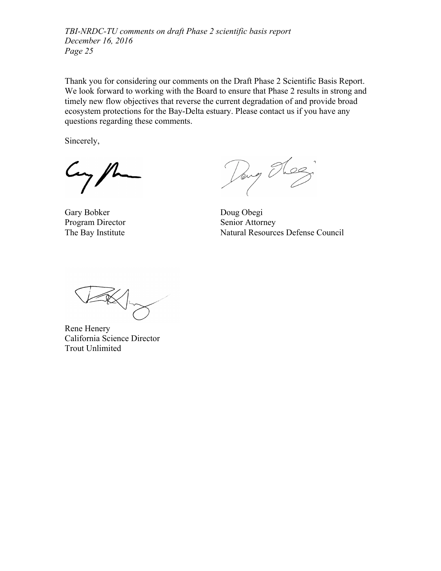Thank you for considering our comments on the Draft Phase 2 Scientific Basis Report. We look forward to working with the Board to ensure that Phase 2 results in strong and timely new flow objectives that reverse the current degradation of and provide broad ecosystem protections for the Bay-Delta estuary. Please contact us if you have any questions regarding these comments.

Sincerely,

 $\mu$ 

Gary Bobker Doug Obegi Program Director Senior Attorney

n T  $\alpha$ 

The Bay Institute Natural Resources Defense Council

Rene Henery California Science Director Trout Unlimited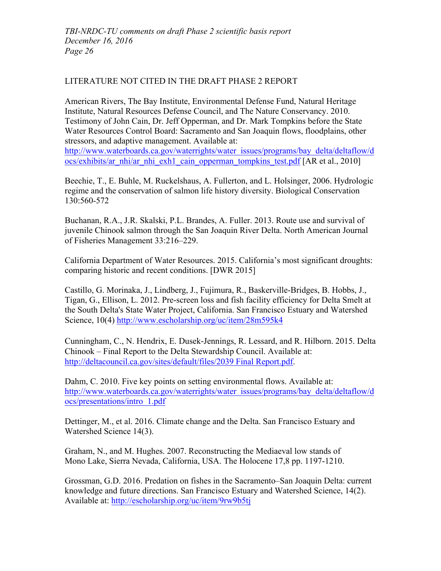## LITERATURE NOT CITED IN THE DRAFT PHASE 2 REPORT

American Rivers, The Bay Institute, Environmental Defense Fund, Natural Heritage Institute, Natural Resources Defense Council, and The Nature Conservancy. 2010. Testimony of John Cain, Dr. Jeff Opperman, and Dr. Mark Tompkins before the State Water Resources Control Board: Sacramento and San Joaquin flows, floodplains, other stressors, and adaptive management. Available at: http://www.waterboards.ca.gov/waterrights/water\_issues/programs/bay\_delta/deltaflow/d

ocs/exhibits/ar\_nhi/ar\_nhi\_exh1\_cain\_opperman\_tompkins\_test.pdf [AR et al., 2010]

Beechie, T., E. Buhle, M. Ruckelshaus, A. Fullerton, and L. Holsinger, 2006. Hydrologic regime and the conservation of salmon life history diversity. Biological Conservation 130:560-572

Buchanan, R.A., J.R. Skalski, P.L. Brandes, A. Fuller. 2013. Route use and survival of juvenile Chinook salmon through the San Joaquin River Delta. North American Journal of Fisheries Management 33:216–229.

California Department of Water Resources. 2015. California's most significant droughts: comparing historic and recent conditions. [DWR 2015]

Castillo, G. Morinaka, J., Lindberg, J., Fujimura, R., Baskerville-Bridges, B. Hobbs, J., Tigan, G., Ellison, L. 2012. Pre-screen loss and fish facility efficiency for Delta Smelt at the South Delta's State Water Project, California. San Francisco Estuary and Watershed Science, 10(4) http://www.escholarship.org/uc/item/28m595k4

Cunningham, C., N. Hendrix, E. Dusek-Jennings, R. Lessard, and R. Hilborn. 2015. Delta Chinook – Final Report to the Delta Stewardship Council. Available at: http://deltacouncil.ca.gov/sites/default/files/2039 Final Report.pdf.

Dahm, C. 2010. Five key points on setting environmental flows. Available at: http://www.waterboards.ca.gov/waterrights/water\_issues/programs/bay\_delta/deltaflow/d ocs/presentations/intro\_1.pdf

Dettinger, M., et al. 2016. Climate change and the Delta. San Francisco Estuary and Watershed Science 14(3).

Graham, N., and M. Hughes. 2007. Reconstructing the Mediaeval low stands of Mono Lake, Sierra Nevada, California, USA. The Holocene 17,8 pp. 1197-1210.

Grossman, G.D. 2016. Predation on fishes in the Sacramento–San Joaquin Delta: current knowledge and future directions. San Francisco Estuary and Watershed Science, 14(2). Available at: http://escholarship.org/uc/item/9rw9b5tj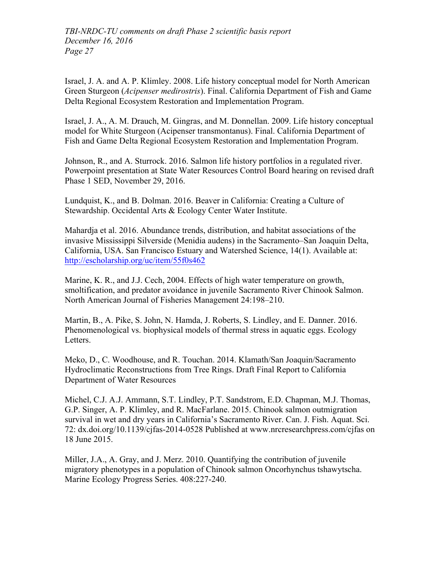Israel, J. A. and A. P. Klimley. 2008. Life history conceptual model for North American Green Sturgeon (*Acipenser medirostris*). Final. California Department of Fish and Game Delta Regional Ecosystem Restoration and Implementation Program.

Israel, J. A., A. M. Drauch, M. Gingras, and M. Donnellan. 2009. Life history conceptual model for White Sturgeon (Acipenser transmontanus). Final. California Department of Fish and Game Delta Regional Ecosystem Restoration and Implementation Program.

Johnson, R., and A. Sturrock. 2016. Salmon life history portfolios in a regulated river. Powerpoint presentation at State Water Resources Control Board hearing on revised draft Phase 1 SED, November 29, 2016.

Lundquist, K., and B. Dolman. 2016. Beaver in California: Creating a Culture of Stewardship. Occidental Arts & Ecology Center Water Institute.

Mahardja et al. 2016. Abundance trends, distribution, and habitat associations of the invasive Mississippi Silverside (Menidia audens) in the Sacramento–San Joaquin Delta, California, USA. San Francisco Estuary and Watershed Science, 14(1). Available at: http://escholarship.org/uc/item/55f0s462

Marine, K. R., and J.J. Cech, 2004. Effects of high water temperature on growth, smoltification, and predator avoidance in juvenile Sacramento River Chinook Salmon. North American Journal of Fisheries Management 24:198–210.

Martin, B., A. Pike, S. John, N. Hamda, J. Roberts, S. Lindley, and E. Danner. 2016. Phenomenological vs. biophysical models of thermal stress in aquatic eggs. Ecology Letters.

Meko, D., C. Woodhouse, and R. Touchan. 2014. Klamath/San Joaquin/Sacramento Hydroclimatic Reconstructions from Tree Rings. Draft Final Report to California Department of Water Resources

Michel, C.J. A.J. Ammann, S.T. Lindley, P.T. Sandstrom, E.D. Chapman, M.J. Thomas, G.P. Singer, A. P. Klimley, and R. MacFarlane. 2015. Chinook salmon outmigration survival in wet and dry years in California's Sacramento River. Can. J. Fish. Aquat. Sci. 72: dx.doi.org/10.1139/cjfas-2014-0528 Published at www.nrcresearchpress.com/cjfas on 18 June 2015.

Miller, J.A., A. Gray, and J. Merz. 2010. Quantifying the contribution of juvenile migratory phenotypes in a population of Chinook salmon Oncorhynchus tshawytscha. Marine Ecology Progress Series. 408:227-240.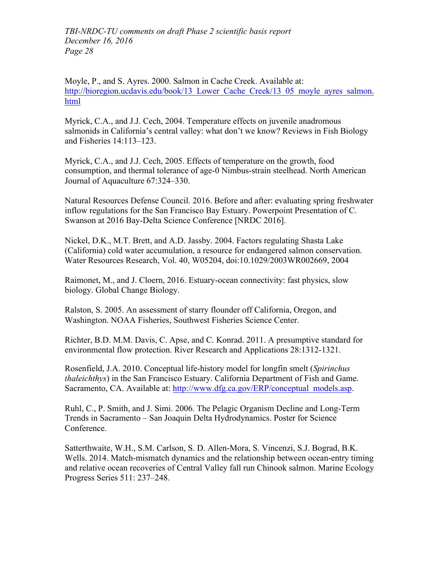Moyle, P., and S. Ayres. 2000. Salmon in Cache Creek. Available at: http://bioregion.ucdavis.edu/book/13 Lower Cache Creek/13\_05\_moyle\_ayres\_salmon. html

Myrick, C.A., and J.J. Cech, 2004. Temperature effects on juvenile anadromous salmonids in California's central valley: what don't we know? Reviews in Fish Biology and Fisheries 14:113–123.

Myrick, C.A., and J.J. Cech, 2005. Effects of temperature on the growth, food consumption, and thermal tolerance of age-0 Nimbus-strain steelhead. North American Journal of Aquaculture 67:324–330.

Natural Resources Defense Council. 2016. Before and after: evaluating spring freshwater inflow regulations for the San Francisco Bay Estuary. Powerpoint Presentation of C. Swanson at 2016 Bay-Delta Science Conference [NRDC 2016].

Nickel, D.K., M.T. Brett, and A.D. Jassby. 2004. Factors regulating Shasta Lake (California) cold water accumulation, a resource for endangered salmon conservation. Water Resources Research, Vol. 40, W05204, doi:10.1029/2003WR002669, 2004

Raimonet, M., and J. Cloern, 2016. Estuary-ocean connectivity: fast physics, slow biology. Global Change Biology.

Ralston, S. 2005. An assessment of starry flounder off California, Oregon, and Washington. NOAA Fisheries, Southwest Fisheries Science Center.

Richter, B.D. M.M. Davis, C. Apse, and C. Konrad. 2011. A presumptive standard for environmental flow protection. River Research and Applications 28:1312-1321.

Rosenfield, J.A. 2010. Conceptual life-history model for longfin smelt (*Spirinchus thaleichthys*) in the San Francisco Estuary. California Department of Fish and Game. Sacramento, CA. Available at: http://www.dfg.ca.gov/ERP/conceptual\_models.asp.

Ruhl, C., P. Smith, and J. Simi. 2006. The Pelagic Organism Decline and Long-Term Trends in Sacramento – San Joaquin Delta Hydrodynamics. Poster for Science Conference.

Satterthwaite, W.H., S.M. Carlson, S. D. Allen-Mora, S. Vincenzi, S.J. Bograd, B.K. Wells. 2014. Match-mismatch dynamics and the relationship between ocean-entry timing and relative ocean recoveries of Central Valley fall run Chinook salmon. Marine Ecology Progress Series 511: 237–248.